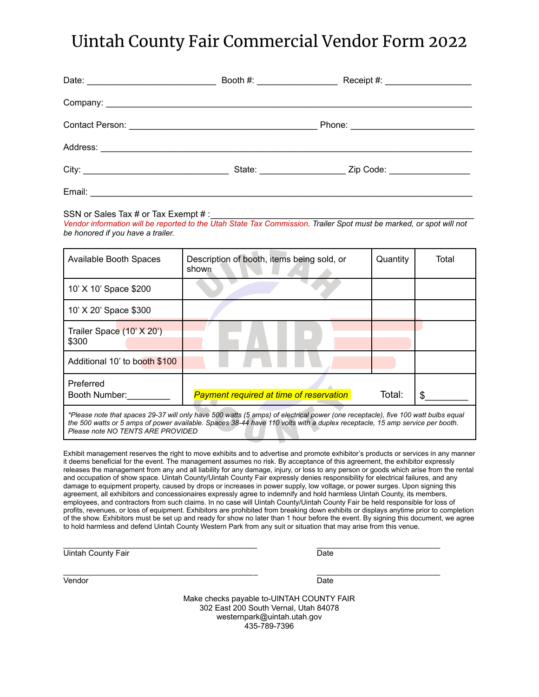## Uintah County Fair Commercial Vendor Form 2022

|        |  | Booth #: _____________________<br>Receipt #: ____________________ |  |
|--------|--|-------------------------------------------------------------------|--|
|        |  |                                                                   |  |
|        |  |                                                                   |  |
|        |  |                                                                   |  |
|        |  | Zip Code: __________________                                      |  |
| Email: |  |                                                                   |  |

## SSN or Sales Tax # or Tax Exempt # :

*Vendor information will be reported to the Utah State Tax Commission. Trailer Spot must be marked, or spot will not be honored if you have a trailer.*

| <b>Available Booth Spaces</b>      | Description of booth, items being sold, or<br>shown | Quantity | Total |
|------------------------------------|-----------------------------------------------------|----------|-------|
| 10' X 10' Space \$200              |                                                     |          |       |
| 10' X 20' Space \$300              |                                                     |          |       |
| Trailer Space (10' X 20')<br>\$300 |                                                     |          |       |
| Additional 10' to booth \$100      |                                                     |          |       |
| Preferred<br>Booth Number:         | <b>Payment required at time of reservation</b>      | Total:   |       |

\*Please note that spaces 29-37 will only have 500 watts (5 amps) of electrical power (one receptacle), five 100 watt bulbs equal the 500 watts or 5 amps of power available. Spaces 38-44 have 110 volts with a duplex receptacle, 15 amp service per booth. *Please note NO TENTS ARE PROVIDED*

Exhibit management reserves the right to move exhibits and to advertise and promote exhibitor's products or services in any manner it deems beneficial for the event. The management assumes no risk. By acceptance of this agreement, the exhibitor expressly releases the management from any and all liability for any damage, injury, or loss to any person or goods which arise from the rental and occupation of show space. Uintah County/Uintah County Fair expressly denies responsibility for electrical failures, and any damage to equipment property, caused by drops or increases in power supply, low voltage, or power surges. Upon signing this agreement, all exhibitors and concessionaires expressly agree to indemnify and hold harmless Uintah County, its members, employees, and contractors from such claims. In no case will Uintah County/Uintah County Fair be held responsible for loss of profits, revenues, or loss of equipment. Exhibitors are prohibited from breaking down exhibits or displays anytime prior to completion of the show. Exhibitors must be set up and ready for show no later than 1 hour before the event. By signing this document, we agree to hold harmless and defend Uintah County Western Park from any suit or situation that may arise from this venue.

\_\_\_\_\_\_\_\_\_\_\_\_\_\_\_\_\_\_\_\_\_\_\_\_\_\_\_\_\_\_\_\_\_\_\_\_\_\_\_\_\_\_\_\_ \_\_\_\_\_\_\_\_\_\_\_\_\_\_\_\_\_\_\_\_\_\_\_\_\_\_\_\_

Uintah County Fair **Date** Date **Date** 

Vendor **Date** 

\_\_\_\_\_\_\_\_\_\_\_\_\_\_\_\_\_\_\_\_\_\_\_\_\_\_\_\_\_\_\_\_\_\_\_\_\_\_\_\_\_\_\_\_ \_\_\_\_\_\_\_\_\_\_\_\_\_\_\_\_\_\_\_\_\_\_\_\_\_\_\_\_

Make checks payable to-UINTAH COUNTY FAIR 302 East 200 South Vernal, Utah 84078 westernpark@uintah.utah.gov 435-789-7396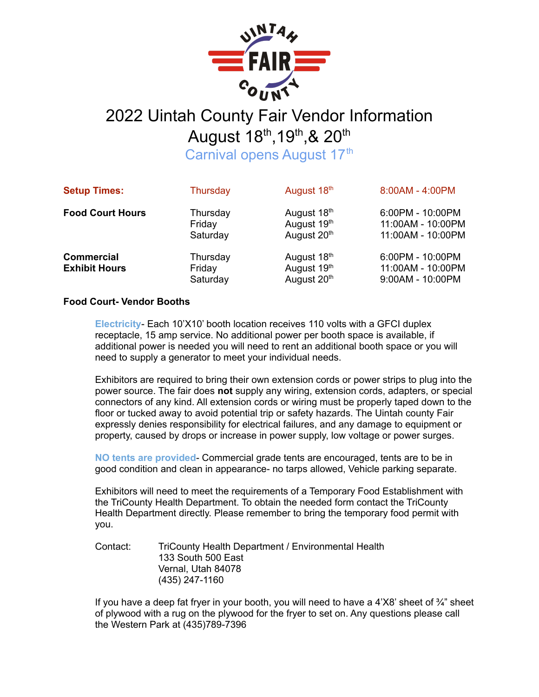

## August 18<sup>th</sup>, 19<sup>th</sup>, & 20<sup>th</sup>

Carnival opens August 17<sup>th</sup>

| <b>Setup Times:</b>                       | Thursday                       | August 18th                               | 8:00AM - 4:00PM                                            |
|-------------------------------------------|--------------------------------|-------------------------------------------|------------------------------------------------------------|
| <b>Food Court Hours</b>                   | Thursday<br>Friday<br>Saturday | August 18th<br>August 19th<br>August 20th | 6:00PM - 10:00PM<br>11:00AM - 10:00PM<br>11:00AM - 10:00PM |
| <b>Commercial</b><br><b>Exhibit Hours</b> | Thursday<br>Friday<br>Saturday | August 18th<br>August 19th<br>August 20th | 6:00PM - 10:00PM<br>11:00AM - 10:00PM<br>9:00AM - 10:00PM  |

## **Food Court- Vendor Booths**

**Electricity**- Each 10'X10' booth location receives 110 volts with a GFCI duplex receptacle, 15 amp service. No additional power per booth space is available, if additional power is needed you will need to rent an additional booth space or you will need to supply a generator to meet your individual needs.

Exhibitors are required to bring their own extension cords or power strips to plug into the power source. The fair does **not** supply any wiring, extension cords, adapters, or special connectors of any kind. All extension cords or wiring must be properly taped down to the floor or tucked away to avoid potential trip or safety hazards. The Uintah county Fair expressly denies responsibility for electrical failures, and any damage to equipment or property, caused by drops or increase in power supply, low voltage or power surges.

**NO tents are provided**- Commercial grade tents are encouraged, tents are to be in good condition and clean in appearance- no tarps allowed, Vehicle parking separate.

Exhibitors will need to meet the requirements of a Temporary Food Establishment with the TriCounty Health Department. To obtain the needed form contact the TriCounty Health Department directly. Please remember to bring the temporary food permit with you.

Contact: TriCounty Health Department / Environmental Health 133 South 500 East Vernal, Utah 84078 (435) 247-1160

If you have a deep fat fryer in your booth, you will need to have a  $4'X8'$  sheet of  $\frac{3}{4}$ " sheet of plywood with a rug on the plywood for the fryer to set on. Any questions please call the Western Park at (435)789-7396